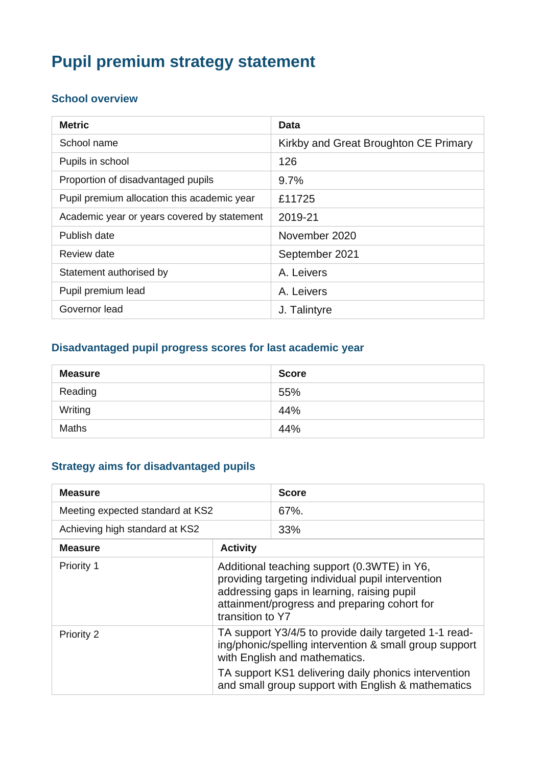# **Pupil premium strategy statement**

## **School overview**

| <b>Metric</b>                               | Data                                  |
|---------------------------------------------|---------------------------------------|
| School name                                 | Kirkby and Great Broughton CE Primary |
| Pupils in school                            | 126                                   |
| Proportion of disadvantaged pupils          | 9.7%                                  |
| Pupil premium allocation this academic year | £11725                                |
| Academic year or years covered by statement | 2019-21                               |
| Publish date                                | November 2020                         |
| <b>Review date</b>                          | September 2021                        |
| Statement authorised by                     | A. Leivers                            |
| Pupil premium lead                          | A. Leivers                            |
| Governor lead                               | J. Talintyre                          |

### **Disadvantaged pupil progress scores for last academic year**

| <b>Measure</b> | <b>Score</b> |
|----------------|--------------|
| Reading        | 55%          |
| Writing        | 44%          |
| <b>Maths</b>   | 44%          |

#### **Strategy aims for disadvantaged pupils**

| <b>Measure</b>                   |                                                                                                                                                                                                                    | <b>Score</b>                                                                                               |
|----------------------------------|--------------------------------------------------------------------------------------------------------------------------------------------------------------------------------------------------------------------|------------------------------------------------------------------------------------------------------------|
| Meeting expected standard at KS2 |                                                                                                                                                                                                                    | $67%$ .                                                                                                    |
| Achieving high standard at KS2   |                                                                                                                                                                                                                    | 33%                                                                                                        |
| <b>Measure</b>                   | <b>Activity</b>                                                                                                                                                                                                    |                                                                                                            |
| Priority 1                       | Additional teaching support (0.3WTE) in Y6,<br>providing targeting individual pupil intervention<br>addressing gaps in learning, raising pupil<br>attainment/progress and preparing cohort for<br>transition to Y7 |                                                                                                            |
| <b>Priority 2</b>                | TA support Y3/4/5 to provide daily targeted 1-1 read-<br>ing/phonic/spelling intervention & small group support<br>with English and mathematics.                                                                   |                                                                                                            |
|                                  |                                                                                                                                                                                                                    | TA support KS1 delivering daily phonics intervention<br>and small group support with English & mathematics |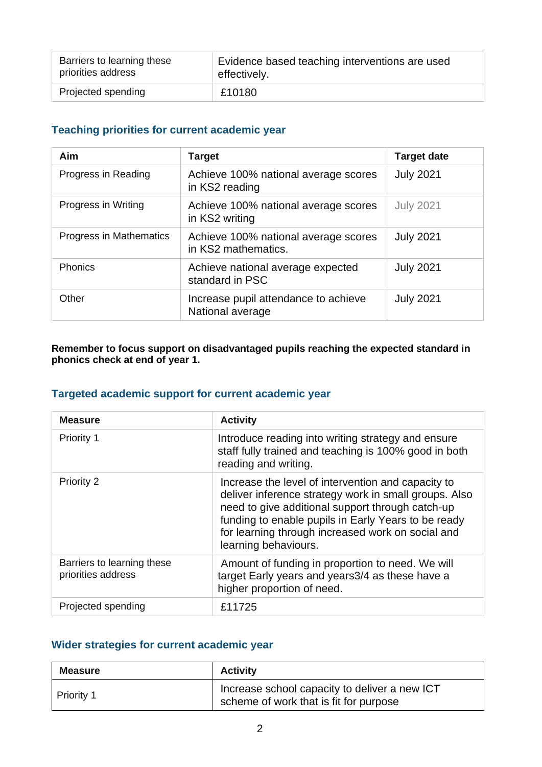| Barriers to learning these | Evidence based teaching interventions are used |
|----------------------------|------------------------------------------------|
| priorities address         | effectively.                                   |
| Projected spending         | £10180                                         |

#### **Teaching priorities for current academic year**

| Aim                     | <b>Target</b>                                               | <b>Target date</b> |
|-------------------------|-------------------------------------------------------------|--------------------|
| Progress in Reading     | Achieve 100% national average scores<br>in KS2 reading      | <b>July 2021</b>   |
| Progress in Writing     | Achieve 100% national average scores<br>in KS2 writing      | <b>July 2021</b>   |
| Progress in Mathematics | Achieve 100% national average scores<br>in KS2 mathematics. | <b>July 2021</b>   |
| Phonics                 | Achieve national average expected<br>standard in PSC        | <b>July 2021</b>   |
| Other                   | Increase pupil attendance to achieve<br>National average    | <b>July 2021</b>   |

**Remember to focus support on disadvantaged pupils reaching the expected standard in phonics check at end of year 1.**

#### **Targeted academic support for current academic year**

| <b>Measure</b>                                   | <b>Activity</b>                                                                                                                                                                                                                                                                                     |
|--------------------------------------------------|-----------------------------------------------------------------------------------------------------------------------------------------------------------------------------------------------------------------------------------------------------------------------------------------------------|
| Priority 1                                       | Introduce reading into writing strategy and ensure<br>staff fully trained and teaching is 100% good in both<br>reading and writing.                                                                                                                                                                 |
| Priority 2                                       | Increase the level of intervention and capacity to<br>deliver inference strategy work in small groups. Also<br>need to give additional support through catch-up<br>funding to enable pupils in Early Years to be ready<br>for learning through increased work on social and<br>learning behaviours. |
| Barriers to learning these<br>priorities address | Amount of funding in proportion to need. We will<br>target Early years and years3/4 as these have a<br>higher proportion of need.                                                                                                                                                                   |
| Projected spending                               | £11725                                                                                                                                                                                                                                                                                              |

#### **Wider strategies for current academic year**

| <b>Measure</b> | <b>Activity</b>                                                                         |  |
|----------------|-----------------------------------------------------------------------------------------|--|
| Priority 1     | Increase school capacity to deliver a new ICT<br>scheme of work that is fit for purpose |  |